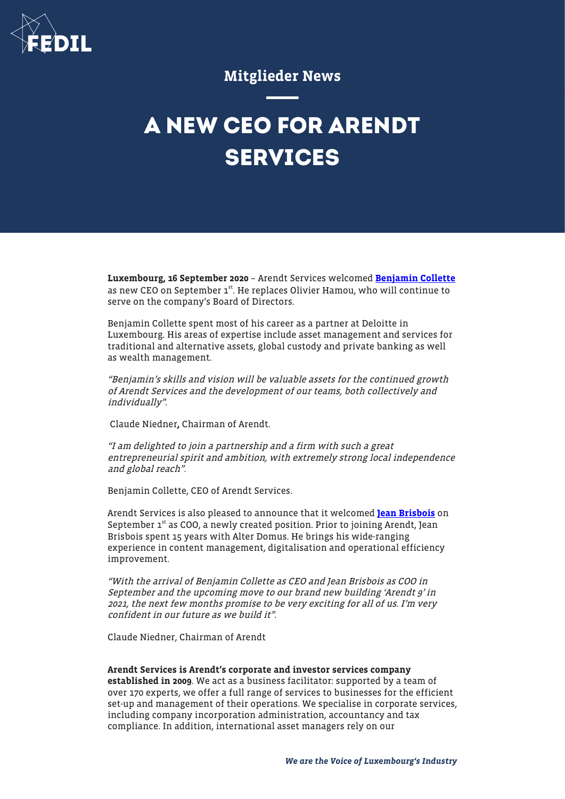

# Mitglieder News

# **A NEW CEO FOR ARENDT SERVICES**

Luxembourg, 16 September 2020 – Arendt Services welcomed [Benjamin Collette](https://sites-arendt.vuturevx.com/e/wr0zliodpez1xa/d370eea8-baf5-4e05-8511-54a2cdfd7814) as new CEO on September 1<sup>st</sup>. He replaces Olivier Hamou, who will continue to serve on the company's Board of Directors.

Benjamin Collette spent most of his career as a partner at Deloitte in Luxembourg. His areas of expertise include asset management and services for traditional and alternative assets, global custody and private banking as well as wealth management.

"Benjamin's skills and vision will be valuable assets for the continued growth of Arendt Services and the development of our teams, both collectively and individually".

Claude Niedner, Chairman of Arendt.

"I am delighted to join a partnership and a firm with such a great entrepreneurial spirit and ambition, with extremely strong local independence and global reach".

Benjamin Collette, CEO of Arendt Services.

Arendt Services is also pleased to announce that it welcomed [Jean Brisbois](https://sites-arendt.vuturevx.com/e/he0ww7atpjquoaw/d370eea8-baf5-4e05-8511-54a2cdfd7814) on September  $1<sup>st</sup>$  as COO, a newly created position. Prior to joining Arendt, Jean Brisbois spent 15 years with Alter Domus. He brings his wide-ranging experience in content management, digitalisation and operational efficiency improvement.

"With the arrival of Benjamin Collette as CEO and Jean Brisbois as COO in September and the upcoming move to our brand new building 'Arendt 9' in 2021, the next few months promise to be very exciting for all of us. I'm very confident in our future as we build it".

Claude Niedner, Chairman of Arendt

#### Arendt Services is Arendt's corporate and investor services company

established in 2009. We act as a business facilitator: supported by a team of over 170 experts, we offer a full range of services to businesses for the efficient set-up and management of their operations. We specialise in corporate services, including company incorporation administration, accountancy and tax compliance. In addition, international asset managers rely on our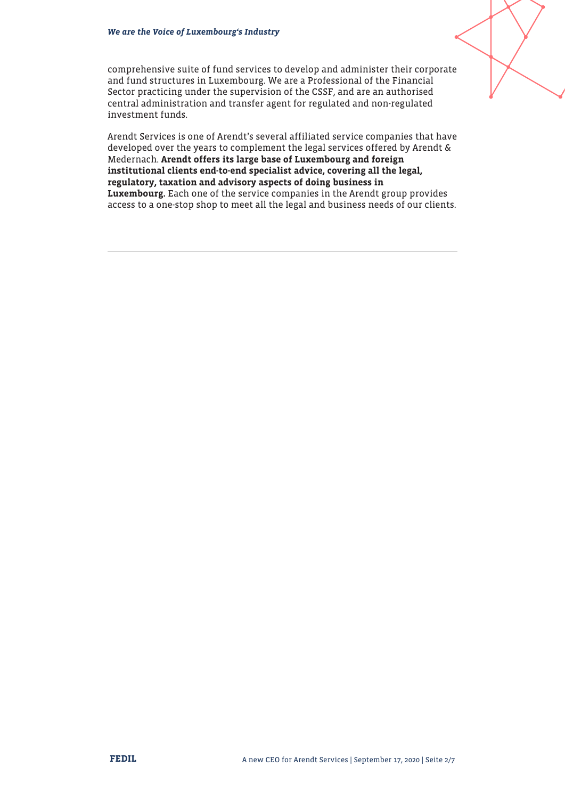

comprehensive suite of fund services to develop and administer their corporate and fund structures in Luxembourg. We are a Professional of the Financial Sector practicing under the supervision of the CSSF, and are an authorised central administration and transfer agent for regulated and non-regulated investment funds.

Arendt Services is one of Arendt's several affiliated service companies that have developed over the years to complement the legal services offered by Arendt & Medernach. Arendt offers its large base of Luxembourg and foreign institutional clients end-to-end specialist advice, covering all the legal, regulatory, taxation and advisory aspects of doing business in Luxembourg. Each one of the service companies in the Arendt group provides access to a one-stop shop to meet all the legal and business needs of our clients.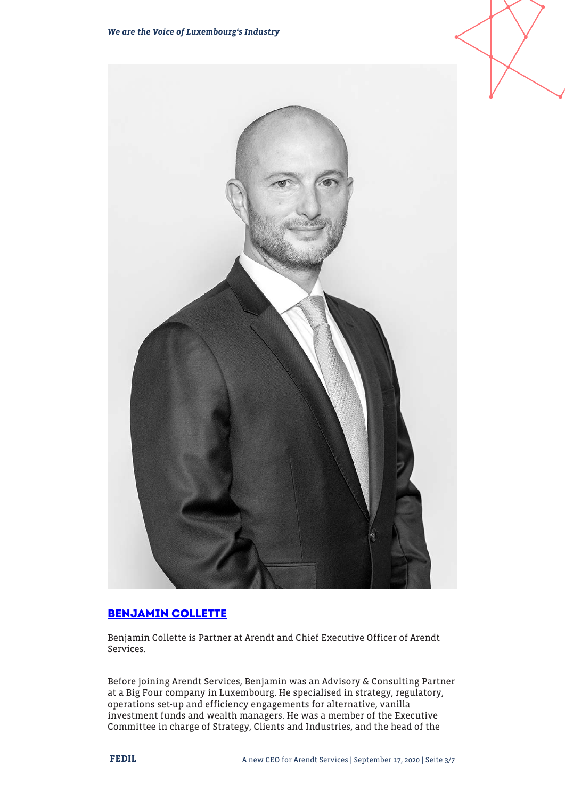

# **[BENJAMIN COLLETTE](https://www.arendt.com/jcms/p_55089/en/benjamin-collette)**

Benjamin Collette is Partner at Arendt and Chief Executive Officer of Arendt Services.

Before joining Arendt Services, Benjamin was an Advisory & Consulting Partner at a Big Four company in Luxembourg. He specialised in strategy, regulatory, operations set-up and efficiency engagements for alternative, vanilla investment funds and wealth managers. He was a member of the Executive Committee in charge of Strategy, Clients and Industries, and the head of the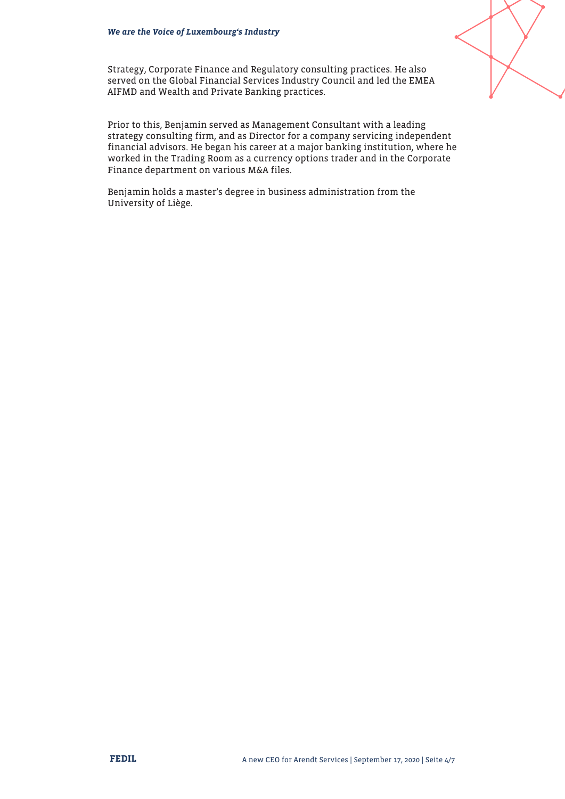

Strategy, Corporate Finance and Regulatory consulting practices. He also served on the Global Financial Services Industry Council and led the EMEA AIFMD and Wealth and Private Banking practices.

Prior to this, Benjamin served as Management Consultant with a leading strategy consulting firm, and as Director for a company servicing independent financial advisors. He began his career at a major banking institution, where he worked in the Trading Room as a currency options trader and in the Corporate Finance department on various M&A files.

Benjamin holds a master's degree in business administration from the University of Liège.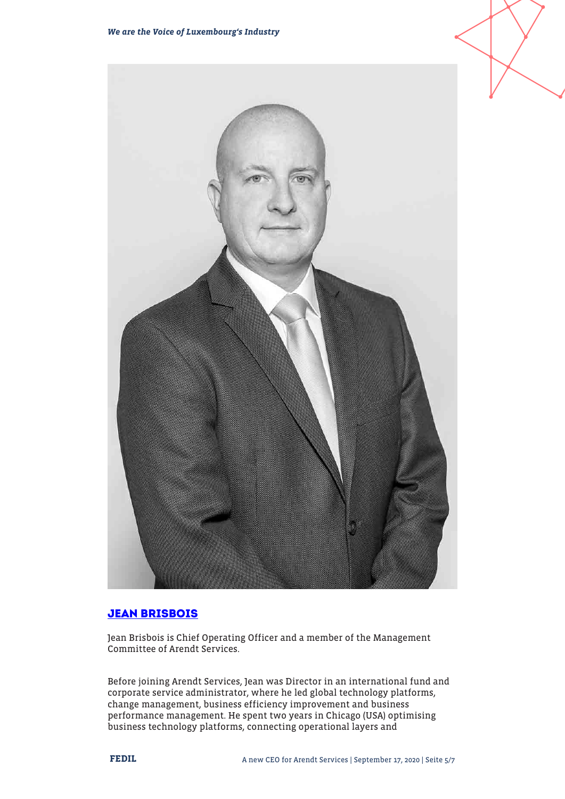

# **[JEAN BRISBOIS](https://sites-arendt.vuturevx.com/e/ke29augunvl8a/d370eea8-baf5-4e05-8511-54a2cdfd7814)**

Jean Brisbois is Chief Operating Officer and a member of the Management Committee of Arendt Services.

Before joining Arendt Services, Jean was Director in an international fund and corporate service administrator, where he led global technology platforms, change management, business efficiency improvement and business performance management. He spent two years in Chicago (USA) optimising business technology platforms, connecting operational layers and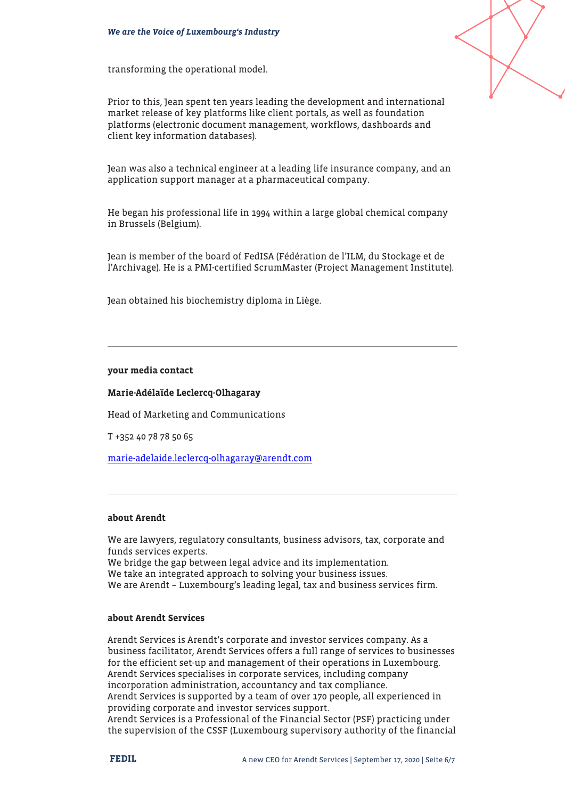transforming the operational model.



Prior to this, Jean spent ten years leading the development and international market release of key platforms like client portals, as well as foundation platforms (electronic document management, workflows, dashboards and client key information databases).

Jean was also a technical engineer at a leading life insurance company, and an application support manager at a pharmaceutical company.

He began his professional life in 1994 within a large global chemical company in Brussels (Belgium).

Jean is member of the board of FedISA (Fédération de l'ILM, du Stockage et de l'Archivage). He is a PMI-certified ScrumMaster (Project Management Institute).

Jean obtained his biochemistry diploma in Liège.

#### your media contact

## Marie-Adélaïde Leclercq-Olhagaray

Head of Marketing and Communications

T +352 40 78 78 50 65

[marie-adelaide.leclercq-olhagaray@arendt.com](mailto:marie-adelaide.leclercq-olhagaray@arendt.com)

# about Arendt

We are lawyers, regulatory consultants, business advisors, tax, corporate and funds services experts. We bridge the gap between legal advice and its implementation. We take an integrated approach to solving your business issues. We are Arendt – Luxembourg's leading legal, tax and business services firm.

## about Arendt Services

Arendt Services is Arendt's corporate and investor services company. As a business facilitator, Arendt Services offers a full range of services to businesses for the efficient set-up and management of their operations in Luxembourg. Arendt Services specialises in corporate services, including company incorporation administration, accountancy and tax compliance. Arendt Services is supported by a team of over 170 people, all experienced in providing corporate and investor services support. Arendt Services is a Professional of the Financial Sector (PSF) practicing under the supervision of the CSSF (Luxembourg supervisory authority of the financial